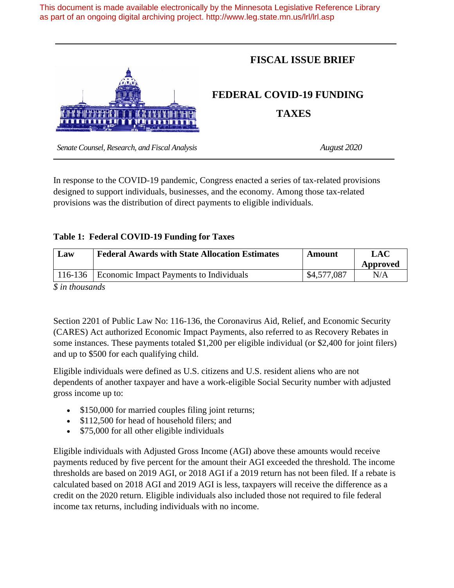This document is made available electronically by the Minnesota Legislative Reference Library as part of an ongoing digital archiving project. http://www.leg.state.mn.us/lrl/lrl.asp



In response to the COVID-19 pandemic, Congress enacted a series of tax-related provisions designed to support individuals, businesses, and the economy. Among those tax-related provisions was the distribution of direct payments to eligible individuals.

## **Table 1: Federal COVID-19 Funding for Taxes**

| Law | <b>Federal Awards with State Allocation Estimates</b> | Amount      | <b>LAC</b> |
|-----|-------------------------------------------------------|-------------|------------|
|     |                                                       |             | Approved   |
|     | 116-136   Economic Impact Payments to Individuals     | \$4,577,087 | N/A        |
|     |                                                       |             |            |

*\$ in thousands*

Section 2201 of Public Law No: 116-136, the Coronavirus Aid, Relief, and Economic Security (CARES) Act authorized Economic Impact Payments, also referred to as Recovery Rebates in some instances. These payments totaled \$1,200 per eligible individual (or \$2,400 for joint filers) and up to \$500 for each qualifying child.

Eligible individuals were defined as U.S. citizens and U.S. resident aliens who are not dependents of another taxpayer and have a work-eligible Social Security number with adjusted gross income up to:

- \$150,000 for married couples filing joint returns;
- \$112,500 for head of household filers; and
- \$75,000 for all other eligible individuals

Eligible individuals with Adjusted Gross Income (AGI) above these amounts would receive payments reduced by five percent for the amount their AGI exceeded the threshold. The income thresholds are based on 2019 AGI, or 2018 AGI if a 2019 return has not been filed. If a rebate is calculated based on 2018 AGI and 2019 AGI is less, taxpayers will receive the difference as a credit on the 2020 return. Eligible individuals also included those not required to file federal income tax returns, including individuals with no income.